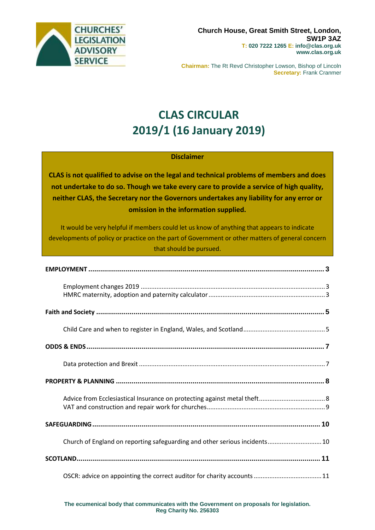

**Chairman:** The Rt Revd Christopher Lowson, Bishop of Lincoln **Secretary:** Frank Cranmer

# **CLAS CIRCULAR 2019/1 (16 January 2019)**

#### **Disclaimer**

**CLAS is not qualified to advise on the legal and technical problems of members and does not undertake to do so. Though we take every care to provide a service of high quality, neither CLAS, the Secretary nor the Governors undertakes any liability for any error or omission in the information supplied.**

It would be very helpful if members could let us know of anything that appears to indicate developments of policy or practice on the part of Government or other matters of general concern that should be pursued.

| Church of England on reporting safeguarding and other serious incidents 10 |  |
|----------------------------------------------------------------------------|--|
|                                                                            |  |
|                                                                            |  |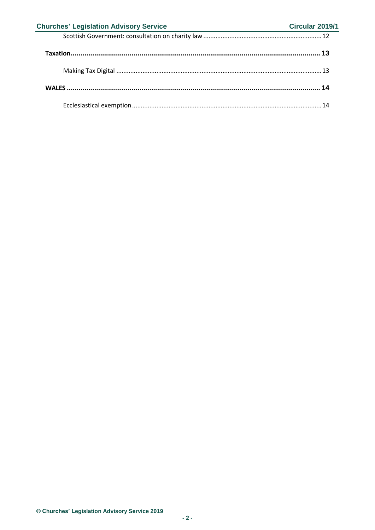| <b>Churches' Legislation Advisory Service</b><br><u> 1989 - Johann Barbara, martin a</u> | Circular 2019/1 |
|------------------------------------------------------------------------------------------|-----------------|
|                                                                                          |                 |
|                                                                                          |                 |
|                                                                                          |                 |
|                                                                                          |                 |
|                                                                                          |                 |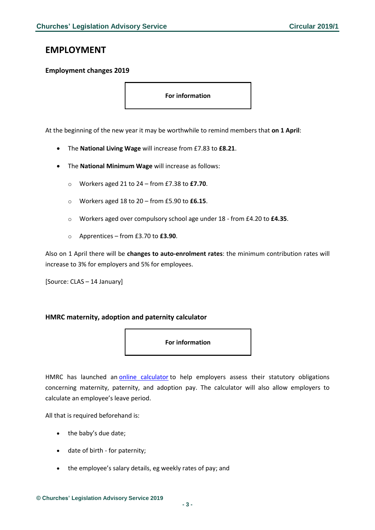### <span id="page-2-0"></span>**EMPLOYMENT**

#### <span id="page-2-1"></span>**Employment changes 2019**

**For information**

At the beginning of the new year it may be worthwhile to remind members that **on 1 April**:

- The **National Living Wage** will increase from £7.83 to **£8.21**.
- The **National Minimum Wage** will increase as follows:
	- o Workers aged 21 to 24 from £7.38 to **£7.70**.
	- o Workers aged 18 to 20 from £5.90 to **£6.15**.
	- o Workers aged over compulsory school age under 18 from £4.20 to **£4.35**.
	- o Apprentices from £3.70 to **£3.90**.

Also on 1 April there will be **changes to auto-enrolment rates**: the minimum contribution rates will increase to 3% for employers and 5% for employees.

[Source: CLAS – 14 January]

#### <span id="page-2-2"></span>**HMRC maternity, adoption and paternity calculator**

**For information**

HMRC has launched an [online calculator](https://www.gov.uk/maternity-paternity-calculator) to help employers assess their statutory obligations concerning maternity, paternity, and adoption pay. The calculator will also allow employers to calculate an employee's leave period.

All that is required beforehand is:

- the baby's due date;
- date of birth for paternity;
- the employee's salary details, eg weekly rates of pay; and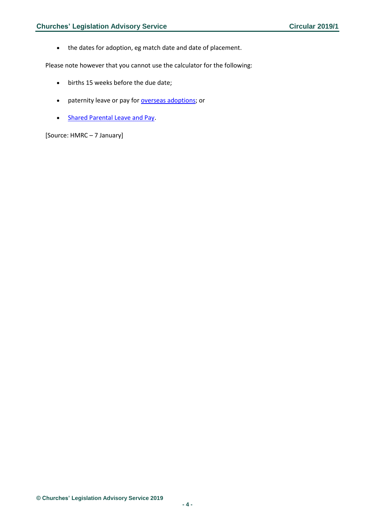• the dates for adoption, eg match date and date of placement.

Please note however that you cannot use the calculator for the following:

- births 15 weeks before the due date;
- paternity leave or pay for [overseas adoptions;](https://www.gov.uk/employers-paternity-pay-leave/adoption) or
- [Shared Parental Leave and Pay.](https://www.gov.uk/shared-parental-leave-and-pay-employer-guide)

[Source: HMRC – 7 January]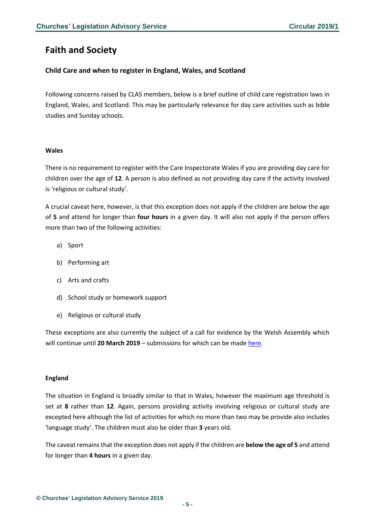### <span id="page-4-0"></span>**Faith and Society**

#### <span id="page-4-1"></span>**Child Care and when to register in England, Wales, and Scotland**

Following concerns raised by CLAS members, below is a brief outline of child care registration laws in England, Wales, and Scotland. This may be particularly relevance for day care activities such as bible studies and Sunday schools.

#### **Wales**

There is no requirement to register with the Care Inspectorate Wales if you are providing day care for children over the age of **12**. A person is also defined as not providing day care if the activity involved is 'religious or cultural study'.

A crucial caveat here, however, is that this exception does not apply if the children are below the age of **5** and attend for longer than **four hours** in a given day. It will also not apply if the person offers more than two of the following activities:

- a) Sport
- b) Performing art
- c) Arts and crafts
- d) School study or homework support
- e) Religious or cultural study

These exceptions are also currently the subject of a call for evidence by the Welsh Assembly which will continue until 20 March 2019 - submissions for which can be made [here.](https://gov.wales/topics/people-and-communities/people/children-and-young-people/childcare/call-for-evidence/?lang=en)

#### **England**

The situation in England is broadly similar to that in Wales, however the maximum age threshold is set at **8** rather than **12**. Again, persons providing activity involving religious or cultural study are excepted here although the list of activities for which no more than two may be provide also includes 'language study'. The children must also be older than **3** years old.

The caveat remains that the exception does not apply if the children are **below the age of 5** and attend for longer than **4 hours** in a given day.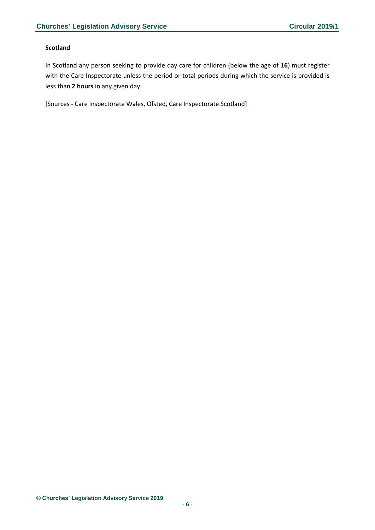#### **Scotland**

In Scotland any person seeking to provide day care for children (below the age of **16**) must register with the Care Inspectorate unless the period or total periods during which the service is provided is less than **2 hours** in any given day.

[Sources - Care Inspectorate Wales, Ofsted, Care Inspectorate Scotland]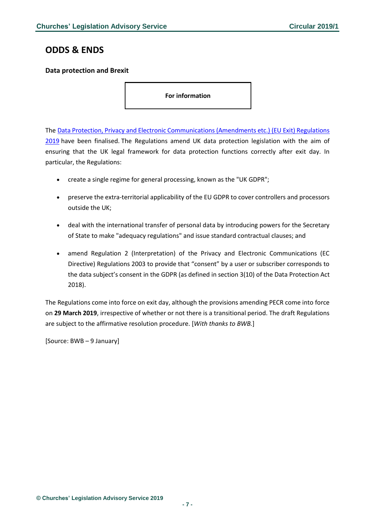### <span id="page-6-0"></span>**ODDS & ENDS**

#### <span id="page-6-1"></span>**Data protection and Brexit**

**For information**

The [Data Protection, Privacy and Electronic Communications \(Amendments etc.\) \(EU Exit\) Regulations](https://dmtrk.net/1Y95-624SN-EQ22GV-3FEUXE-1/c.aspx)  [2019](https://dmtrk.net/1Y95-624SN-EQ22GV-3FEUXE-1/c.aspx) have been finalised. The Regulations amend UK data protection legislation with the aim of ensuring that the UK legal framework for data protection functions correctly after exit day. In particular, the Regulations:

- create a single regime for general processing, known as the "UK GDPR";
- preserve the extra-territorial applicability of the EU GDPR to cover controllers and processors outside the UK;
- deal with the international transfer of personal data by introducing powers for the Secretary of State to make "adequacy regulations" and issue standard contractual clauses; and
- amend Regulation 2 (Interpretation) of the Privacy and Electronic Communications (EC Directive) Regulations 2003 to provide that "consent" by a user or subscriber corresponds to the data subject's consent in the GDPR (as defined in section 3(10) of the Data Protection Act 2018).

The Regulations come into force on exit day, although the provisions amending PECR come into force on **29 March 2019**, irrespective of whether or not there is a transitional period. The draft Regulations are subject to the affirmative resolution procedure. [*With thanks to BWB.*]

[Source: BWB – 9 January]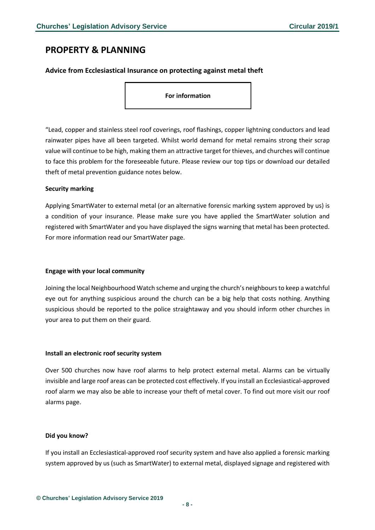### <span id="page-7-0"></span>**PROPERTY & PLANNING**

#### <span id="page-7-1"></span>**Advice from Ecclesiastical Insurance on protecting against metal theft**

**For information**

"Lead, copper and stainless steel roof coverings, roof flashings, copper lightning conductors and lead rainwater pipes have all been targeted. Whilst world demand for metal remains strong their scrap value will continue to be high, making them an attractive target forthieves, and churches will continue to face this problem for the foreseeable future. Please review our top tips or download our detailed theft of metal prevention guidance notes below.

#### **Security marking**

Applying SmartWater to external metal (or an alternative forensic marking system approved by us) is a condition of your insurance. Please make sure you have applied the SmartWater solution and registered with SmartWater and you have displayed the signs warning that metal has been protected. For more information read our SmartWater page.

#### **Engage with your local community**

Joining the local Neighbourhood Watch scheme and urging the church's neighboursto keep a watchful eye out for anything suspicious around the church can be a big help that costs nothing. Anything suspicious should be reported to the police straightaway and you should inform other churches in your area to put them on their guard.

#### **Install an electronic roof security system**

Over 500 churches now have roof alarms to help protect external metal. Alarms can be virtually invisible and large roof areas can be protected cost effectively. If you install an Ecclesiastical-approved roof alarm we may also be able to increase your theft of metal cover. To find out more visit our roof alarms page.

#### **Did you know?**

If you install an Ecclesiastical-approved roof security system and have also applied a forensic marking system approved by us (such as SmartWater) to external metal, displayed signage and registered with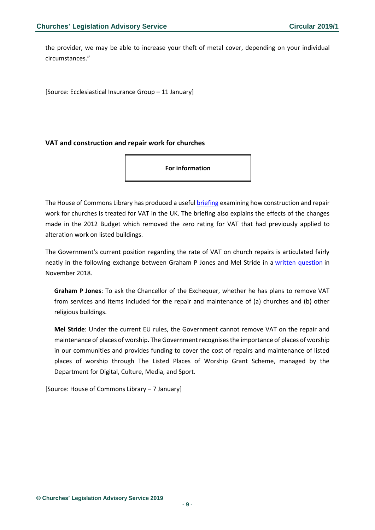the provider, we may be able to increase your theft of metal cover, depending on your individual circumstances."

[Source: Ecclesiastical Insurance Group – 11 January]

#### <span id="page-8-0"></span>**VAT and construction and repair work for churches**

**For information**

The House of Commons Library has produced a useful [briefing](https://researchbriefings.parliament.uk/ResearchBriefing/Summary/SN01051) examining how construction and repair work for churches is treated for VAT in the UK. The briefing also explains the effects of the changes made in the 2012 Budget which removed the zero rating for VAT that had previously applied to alteration work on listed buildings.

The Government's current position regarding the rate of VAT on church repairs is articulated fairly neatly in the following exchange between Graham P Jones and Mel Stride in a [written question](https://www.parliament.uk/written-questions-answers-statements/written-question/commons/2018-11-13/190861) in November 2018.

**Graham P Jones**: To ask the Chancellor of the Exchequer, whether he has plans to remove VAT from services and items included for the repair and maintenance of (a) churches and (b) other religious buildings.

**Mel Stride**: Under the current EU rules, the Government cannot remove VAT on the repair and maintenance of places of worship. The Government recognises the importance of places of worship in our communities and provides funding to cover the cost of repairs and maintenance of listed places of worship through The Listed Places of Worship Grant Scheme, managed by the Department for Digital, Culture, Media, and Sport.

[Source: House of Commons Library – 7 January]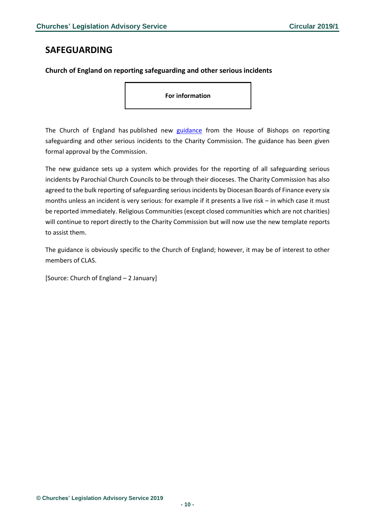### <span id="page-9-0"></span>**SAFEGUARDING**

#### <span id="page-9-1"></span>**Church of England on reporting safeguarding and other serious incidents**

**For information**

The Church of England has published new [guidance](https://www.parishresources.org.uk/wp-content/uploads/Safeguarding-SIR-Guidance-FINAL-1-Jan-2019.pdf) from the House of Bishops on reporting safeguarding and other serious incidents to the Charity Commission. The guidance has been given formal approval by the Commission.

The new guidance sets up a system which provides for the reporting of all safeguarding serious incidents by Parochial Church Councils to be through their dioceses. The Charity Commission has also agreed to the bulk reporting of safeguarding serious incidents by Diocesan Boards of Finance every six months unless an incident is very serious: for example if it presents a live risk – in which case it must be reported immediately. Religious Communities (except closed communities which are not charities) will continue to report directly to the Charity Commission but will now use the new template reports to assist them.

The guidance is obviously specific to the Church of England; however, it may be of interest to other members of CLAS.

[Source: Church of England – 2 January]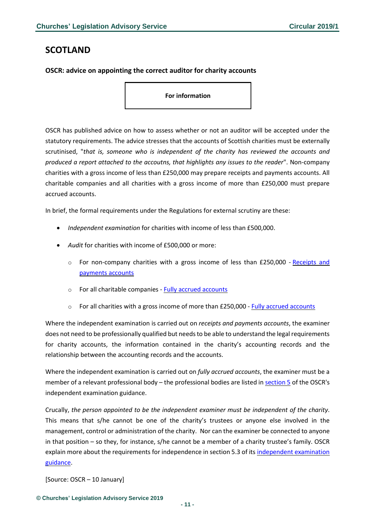### <span id="page-10-0"></span>**SCOTLAND**

#### <span id="page-10-1"></span>**OSCR: advice on appointing the correct auditor for charity accounts**

**For information**

OSCR has published advice on how to assess whether or not an auditor will be accepted under the statutory requirements. The advice stresses that the accounts of Scottish charities must be externally scrutinised, "*that is, someone who is independent of the charity has reviewed the accounts and produced a report attached to the accoutns, that highlights any issues to the reader*". Non-company charities with a gross income of less than £250,000 may prepare receipts and payments accounts. All charitable companies and all charities with a gross income of more than £250,000 must prepare accrued accounts.

In brief, the formal requirements under the Regulations for external scrutiny are these:

- *Independent examination* for charities with income of less than £500,000.
- *Audit* for charities with income of £500,000 or more:
	- $\circ$  For non-company charities with a gross income of less than £250,000 [Receipts](https://www.oscr.org.uk/managing-a-charity/charity-accounting/receipts-and-payments-accounts-work-pack) and [payments](https://www.oscr.org.uk/managing-a-charity/charity-accounting/receipts-and-payments-accounts-work-pack) accounts
	- o For all charitable companies Fully accrued [accounts](https://www.oscr.org.uk/media/2064/2015-10-28-amended-scottish-charity-accounts-guide.pdf)
	- $\circ$  For all charities with a gross income of more than £250,000 Fully accrued [accounts](https://www.oscr.org.uk/media/2064/2015-10-28-amended-scottish-charity-accounts-guide.pdf)

Where the independent examination is carried out on *receipts and payments accounts*, the examiner does not need to be professionally qualified but needs to be able to understand the legal requirements for charity accounts, the information contained in the charity's accounting records and the relationship between the accounting records and the accounts.

Where the independent examination is carried out on *fully accrued accounts*, the examiner must be a member of a relevant professional body – the professional bodies are listed in [section](https://www.oscr.org.uk/media/1937/2015-08-12-ie-guidance-final.pdf) 5 of the OSCR's independent examination guidance.

Crucally, *the person appointed to be the independent examiner must be independent of the charity*. This means that s/he cannot be one of the charity's trustees or anyone else involved in the management, control or administration of the charity. Nor can the examiner be connected to anyone in that position – so they, for instance, s/he cannot be a member of a charity trustee's family. OSCR explain more about the requirements for independence in section 5.3 of its [independent](https://www.oscr.org.uk/media/1937/2015-08-12-ie-guidance-final.pdf) examination [guidance.](https://www.oscr.org.uk/media/1937/2015-08-12-ie-guidance-final.pdf)

[Source: OSCR – 10 January]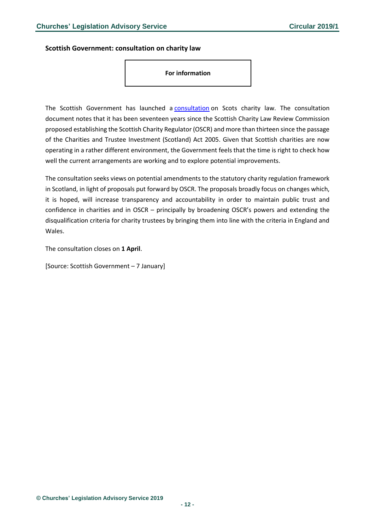#### <span id="page-11-0"></span>**Scottish Government: consultation on charity law**

**For information**

The Scottish Government has launched a [consultation](https://www.gov.scot/publications/consultation-scottish-charity-law/) on Scots charity law. The consultation document notes that it has been seventeen years since the Scottish Charity Law Review Commission proposed establishing the Scottish Charity Regulator (OSCR) and more than thirteen since the passage of the Charities and Trustee Investment (Scotland) Act 2005. Given that Scottish charities are now operating in a rather different environment, the Government feels that the time is right to check how well the current arrangements are working and to explore potential improvements.

The consultation seeks views on potential amendments to the statutory charity regulation framework in Scotland, in light of proposals put forward by OSCR. The proposals broadly focus on changes which, it is hoped, will increase transparency and accountability in order to maintain public trust and confidence in charities and in OSCR – principally by broadening OSCR's powers and extending the disqualification criteria for charity trustees by bringing them into line with the criteria in England and Wales.

The consultation closes on **1 April**.

[Source: Scottish Government – 7 January]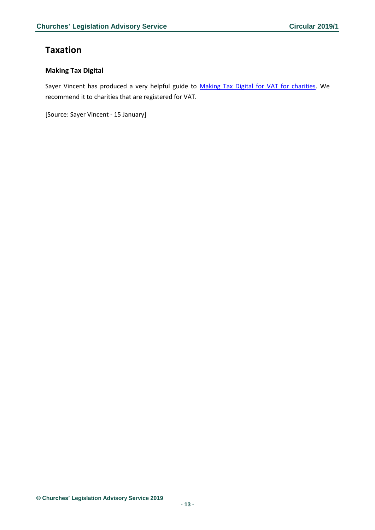### <span id="page-12-0"></span>**Taxation**

#### <span id="page-12-1"></span>**Making Tax Digital**

Sayer Vincent has produced a very helpful guide to [Making Tax Digital for VAT for charities.](https://www.sayervincent.co.uk/wp-content/uploads/2018/12/MTD-for-VAT-for-Charities.pdf?dm_i=G8B,625V6,GSPKAT,NS2AJ,1) We recommend it to charities that are registered for VAT.

[Source: Sayer Vincent - 15 January]